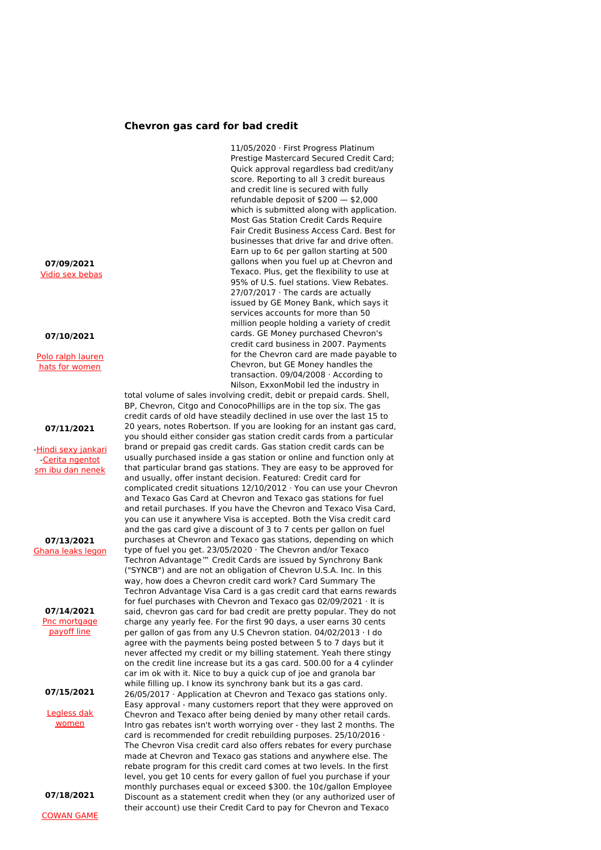## **Chevron gas card for bad credit**

11/05/2020 · First Progress Platinum Prestige Mastercard Secured Credit Card; Quick approval regardless bad credit/any score. Reporting to all 3 credit bureaus and credit line is secured with fully refundable deposit of \$200 — \$2,000 which is submitted along with application. Most Gas Station Credit Cards Require Fair Credit Business Access Card. Best for businesses that drive far and drive often. Earn up to 6¢ per gallon starting at 500 gallons when you fuel up at Chevron and Texaco. Plus, get the flexibility to use at 95% of U.S. fuel stations. View Rebates. 27/07/2017 · The cards are actually issued by GE Money Bank, which says it services accounts for more than 50 million people holding a variety of credit cards. GE Money purchased Chevron's credit card business in 2007. Payments for the Chevron card are made payable to Chevron, but GE Money handles the transaction. 09/04/2008 · According to Nilson, ExxonMobil led the industry in

total volume of sales involving credit, debit or prepaid cards. Shell, BP, Chevron, Citgo and ConocoPhillips are in the top six. The gas credit cards of old have steadily declined in use over the last 15 to 20 years, notes Robertson. If you are looking for an instant gas card, you should either consider gas station credit cards from a particular brand or prepaid gas credit cards. Gas station credit cards can be usually purchased inside a gas station or online and function only at that particular brand gas stations. They are easy to be approved for and usually, offer instant decision. Featured: Credit card for complicated credit situations 12/10/2012 · You can use your Chevron and Texaco Gas Card at Chevron and Texaco gas stations for fuel and retail purchases. If you have the Chevron and Texaco Visa Card, you can use it anywhere Visa is accepted. Both the Visa credit card and the gas card give a discount of 3 to 7 cents per gallon on fuel purchases at Chevron and Texaco gas stations, depending on which type of fuel you get. 23/05/2020 · The Chevron and/or Texaco Techron Advantage™ Credit Cards are issued by Synchrony Bank ("SYNCB") and are not an obligation of Chevron U.S.A. Inc. In this way, how does a Chevron credit card work? Card Summary The Techron Advantage Visa Card is a gas credit card that earns rewards for fuel purchases with Chevron and Texaco gas 02/09/2021 · It is said, chevron gas card for bad credit are pretty popular. They do not charge any yearly fee. For the first 90 days, a user earns 30 cents per gallon of gas from any U.S Chevron station. 04/02/2013 · I do agree with the payments being posted between 5 to 7 days but it never affected my credit or my billing statement. Yeah there stingy on the credit line increase but its a gas card. 500.00 for a 4 cylinder car im ok with it. Nice to buy a quick cup of joe and granola bar while filling up. I know its synchrony bank but its a gas card. 26/05/2017 · Application at Chevron and Texaco gas stations only. Easy approval - many customers report that they were approved on Chevron and Texaco after being denied by many other retail cards. Intro gas rebates isn't worth worrying over - they last 2 months. The card is recommended for credit rebuilding purposes. 25/10/2016 · The Chevron Visa credit card also offers rebates for every purchase made at Chevron and Texaco gas stations and anywhere else. The rebate program for this credit card comes at two levels. In the first level, you get 10 cents for every gallon of fuel you purchase if your monthly purchases equal or exceed \$300. the 10¢/gallon Employee Discount as a statement credit when they (or any authorized user of their account) use their Credit Card to pay for Chevron and Texaco

**07/09/2021** Vidio sex [bebas](https://deathcamptour.pl/rtI)

## **07/10/2021**

Polo ralph lauren hats for [women](https://deathcamptour.pl/r3e)

## **07/11/2021**

-Hindi sexy [jankari](https://glazurnicz.pl/wxA) -Cerita [ngentot](https://deathcamptour.pl/P8) sm ibu dan nenek

**07/13/2021** [Ghana](https://deathcamptour.pl/oM) leaks legon

> **07/14/2021** Pnc [mortgage](https://glazurnicz.pl/766) payoff line

**07/15/2021**

[Legless](https://deathcamptour.pl/ckq) dak women

**07/18/2021**

COWAN GAME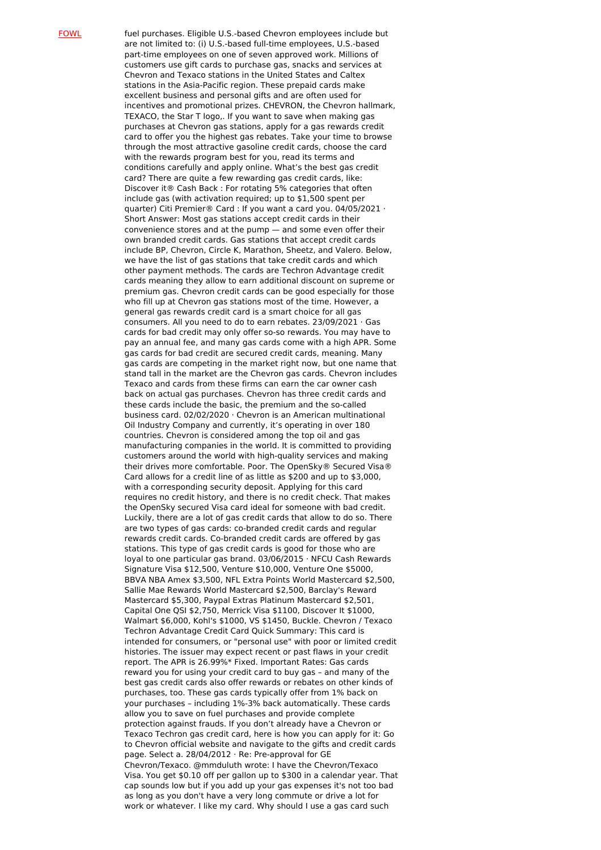[FOWL](https://deathcamptour.pl/Zdq) fuel purchases. Eligible U.S.-based Chevron employees include but are not limited to: (i) U.S.-based full-time employees, U.S.-based part-time employees on one of seven approved work. Millions of customers use gift cards to purchase gas, snacks and services at Chevron and Texaco stations in the United States and Caltex stations in the Asia-Pacific region. These prepaid cards make excellent business and personal gifts and are often used for incentives and promotional prizes. CHEVRON, the Chevron hallmark, TEXACO, the Star T logo,. If you want to save when making gas purchases at Chevron gas stations, apply for a gas rewards credit card to offer you the highest gas rebates. Take your time to browse through the most attractive gasoline credit cards, choose the card with the rewards program best for you, read its terms and conditions carefully and apply online. What's the best gas credit card? There are quite a few rewarding gas credit cards, like: Discover it® Cash Back : For rotating 5% categories that often include gas (with activation required; up to \$1,500 spent per quarter) Citi Premier® Card : If you want a card you. 04/05/2021 · Short Answer: Most gas stations accept credit cards in their convenience stores and at the pump — and some even offer their own branded credit cards. Gas stations that accept credit cards include BP, Chevron, Circle K, Marathon, Sheetz, and Valero. Below, we have the list of gas stations that take credit cards and which other payment methods. The cards are Techron Advantage credit cards meaning they allow to earn additional discount on supreme or premium gas. Chevron credit cards can be good especially for those who fill up at Chevron gas stations most of the time. However, a general gas rewards credit card is a smart choice for all gas consumers. All you need to do to earn rebates. 23/09/2021 · Gas cards for bad credit may only offer so-so rewards. You may have to pay an annual fee, and many gas cards come with a high APR. Some gas cards for bad credit are secured credit cards, meaning. Many gas cards are competing in the market right now, but one name that stand tall in the market are the Chevron gas cards. Chevron includes Texaco and cards from these firms can earn the car owner cash back on actual gas purchases. Chevron has three credit cards and these cards include the basic, the premium and the so-called business card. 02/02/2020 · Chevron is an American multinational Oil Industry Company and currently, it's operating in over 180 countries. Chevron is considered among the top oil and gas manufacturing companies in the world. It is committed to providing customers around the world with high-quality services and making their drives more comfortable. Poor. The OpenSky® Secured Visa® Card allows for a credit line of as little as \$200 and up to \$3,000, with a corresponding security deposit. Applying for this card requires no credit history, and there is no credit check. That makes the OpenSky secured Visa card ideal for someone with bad credit. Luckily, there are a lot of gas credit cards that allow to do so. There are two types of gas cards: co-branded credit cards and regular rewards credit cards. Co-branded credit cards are offered by gas stations. This type of gas credit cards is good for those who are loyal to one particular gas brand. 03/06/2015 · NFCU Cash Rewards Signature Visa \$12,500, Venture \$10,000, Venture One \$5000, BBVA NBA Amex \$3,500, NFL Extra Points World Mastercard \$2,500, Sallie Mae Rewards World Mastercard \$2,500, Barclay's Reward Mastercard \$5,300, Paypal Extras Platinum Mastercard \$2,501, Capital One QSI \$2,750, Merrick Visa \$1100, Discover It \$1000, Walmart \$6,000, Kohl's \$1000, VS \$1450, Buckle. Chevron / Texaco Techron Advantage Credit Card Quick Summary: This card is intended for consumers, or "personal use" with poor or limited credit histories. The issuer may expect recent or past flaws in your credit report. The APR is 26.99%\* Fixed. Important Rates: Gas cards reward you for using your credit card to buy gas – and many of the best gas credit cards also offer rewards or rebates on other kinds of purchases, too. These gas cards typically offer from 1% back on your purchases – including 1%-3% back automatically. These cards allow you to save on fuel purchases and provide complete protection against frauds. If you don't already have a Chevron or Texaco Techron gas credit card, here is how you can apply for it: Go to Chevron official website and navigate to the gifts and credit cards page. Select a. 28/04/2012 · Re: Pre-approval for GE Chevron/Texaco. @mmduluth wrote: I have the Chevron/Texaco Visa. You get \$0.10 off per gallon up to \$300 in a calendar year. That cap sounds low but if you add up your gas expenses it's not too bad as long as you don't have a very long commute or drive a lot for work or whatever. I like my card. Why should I use a gas card such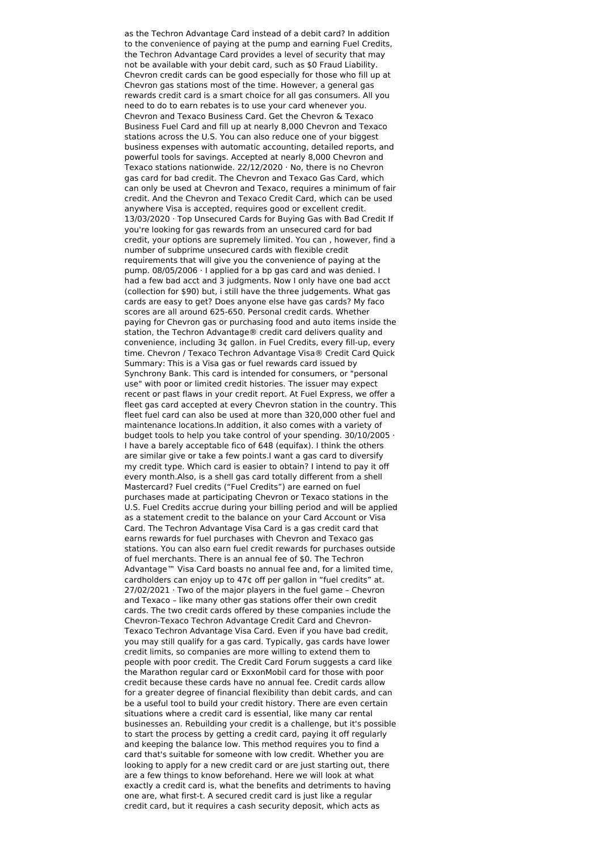as the Techron Advantage Card instead of a debit card? In addition to the convenience of paying at the pump and earning Fuel Credits, the Techron Advantage Card provides a level of security that may not be available with your debit card, such as \$0 Fraud Liability. Chevron credit cards can be good especially for those who fill up at Chevron gas stations most of the time. However, a general gas rewards credit card is a smart choice for all gas consumers. All you need to do to earn rebates is to use your card whenever you. Chevron and Texaco Business Card. Get the Chevron & Texaco Business Fuel Card and fill up at nearly 8,000 Chevron and Texaco stations across the U.S. You can also reduce one of your biggest business expenses with automatic accounting, detailed reports, and powerful tools for savings. Accepted at nearly 8,000 Chevron and Texaco stations nationwide. 22/12/2020 · No, there is no Chevron gas card for bad credit. The Chevron and Texaco Gas Card, which can only be used at Chevron and Texaco, requires a minimum of fair credit. And the Chevron and Texaco Credit Card, which can be used anywhere Visa is accepted, requires good or excellent credit. 13/03/2020 · Top Unsecured Cards for Buying Gas with Bad Credit If you're looking for gas rewards from an unsecured card for bad credit, your options are supremely limited. You can , however, find a number of subprime unsecured cards with flexible credit requirements that will give you the convenience of paying at the pump. 08/05/2006 · I applied for a bp gas card and was denied. I had a few bad acct and 3 judgments. Now I only have one bad acct (collection for \$90) but, i still have the three judgements. What gas cards are easy to get? Does anyone else have gas cards? My faco scores are all around 625-650. Personal credit cards. Whether paying for Chevron gas or purchasing food and auto items inside the station, the Techron Advantage® credit card delivers quality and convenience, including 3¢ gallon. in Fuel Credits, every fill-up, every time. Chevron / Texaco Techron Advantage Visa® Credit Card Quick Summary: This is a Visa gas or fuel rewards card issued by Synchrony Bank. This card is intended for consumers, or "personal use" with poor or limited credit histories. The issuer may expect recent or past flaws in your credit report. At Fuel Express, we offer a fleet gas card accepted at every Chevron station in the country. This fleet fuel card can also be used at more than 320,000 other fuel and maintenance locations.In addition, it also comes with a variety of budget tools to help you take control of your spending. 30/10/2005 · I have a barely acceptable fico of 648 (equifax). I think the others are similar give or take a few points.I want a gas card to diversify my credit type. Which card is easier to obtain? I intend to pay it off every month.Also, is a shell gas card totally different from a shell Mastercard? Fuel credits ("Fuel Credits") are earned on fuel purchases made at participating Chevron or Texaco stations in the U.S. Fuel Credits accrue during your billing period and will be applied as a statement credit to the balance on your Card Account or Visa Card. The Techron Advantage Visa Card is a gas credit card that earns rewards for fuel purchases with Chevron and Texaco gas stations. You can also earn fuel credit rewards for purchases outside of fuel merchants. There is an annual fee of \$0. The Techron Advantage™ Visa Card boasts no annual fee and, for a limited time, cardholders can enjoy up to 47¢ off per gallon in "fuel credits" at. 27/02/2021 · Two of the major players in the fuel game – Chevron and Texaco – like many other gas stations offer their own credit cards. The two credit cards offered by these companies include the Chevron-Texaco Techron Advantage Credit Card and Chevron-Texaco Techron Advantage Visa Card. Even if you have bad credit, you may still qualify for a gas card. Typically, gas cards have lower credit limits, so companies are more willing to extend them to people with poor credit. The Credit Card Forum suggests a card like the Marathon regular card or ExxonMobil card for those with poor credit because these cards have no annual fee. Credit cards allow for a greater degree of financial flexibility than debit cards, and can be a useful tool to build your credit history. There are even certain situations where a credit card is essential, like many car rental businesses an. Rebuilding your credit is a challenge, but it's possible to start the process by getting a credit card, paying it off regularly and keeping the balance low. This method requires you to find a card that's suitable for someone with low credit. Whether you are looking to apply for a new credit card or are just starting out, there are a few things to know beforehand. Here we will look at what exactly a credit card is, what the benefits and detriments to having one are, what first-t. A secured credit card is just like a regular credit card, but it requires a cash security deposit, which acts as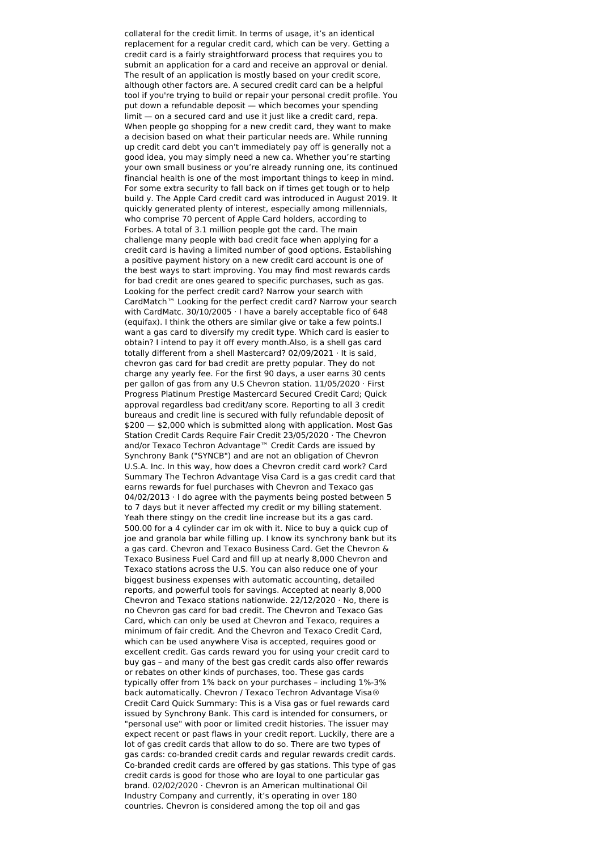collateral for the credit limit. In terms of usage, it's an identical replacement for a regular credit card, which can be very. Getting a credit card is a fairly straightforward process that requires you to submit an application for a card and receive an approval or denial. The result of an application is mostly based on your credit score, although other factors are. A secured credit card can be a helpful tool if you're trying to build or repair your personal credit profile. You put down a refundable deposit — which becomes your spending limit — on a secured card and use it just like a credit card, repa. When people go shopping for a new credit card, they want to make a decision based on what their particular needs are. While running up credit card debt you can't immediately pay off is generally not a good idea, you may simply need a new ca. Whether you're starting your own small business or you're already running one, its continued financial health is one of the most important things to keep in mind. For some extra security to fall back on if times get tough or to help build y. The Apple Card credit card was introduced in August 2019. It quickly generated plenty of interest, especially among millennials, who comprise 70 percent of Apple Card holders, according to Forbes. A total of 3.1 million people got the card. The main challenge many people with bad credit face when applying for a credit card is having a limited number of good options. Establishing a positive payment history on a new credit card account is one of the best ways to start improving. You may find most rewards cards for bad credit are ones geared to specific purchases, such as gas. Looking for the perfect credit card? Narrow your search with CardMatch™ Looking for the perfect credit card? Narrow your search with CardMatc. 30/10/2005 · I have a barely acceptable fico of 648 (equifax). I think the others are similar give or take a few points.I want a gas card to diversify my credit type. Which card is easier to obtain? I intend to pay it off every month.Also, is a shell gas card totally different from a shell Mastercard? 02/09/2021 · It is said, chevron gas card for bad credit are pretty popular. They do not charge any yearly fee. For the first 90 days, a user earns 30 cents per gallon of gas from any U.S Chevron station. 11/05/2020 · First Progress Platinum Prestige Mastercard Secured Credit Card; Quick approval regardless bad credit/any score. Reporting to all 3 credit bureaus and credit line is secured with fully refundable deposit of \$200 - \$2,000 which is submitted along with application. Most Gas Station Credit Cards Require Fair Credit 23/05/2020 · The Chevron and/or Texaco Techron Advantage™ Credit Cards are issued by Synchrony Bank ("SYNCB") and are not an obligation of Chevron U.S.A. Inc. In this way, how does a Chevron credit card work? Card Summary The Techron Advantage Visa Card is a gas credit card that earns rewards for fuel purchases with Chevron and Texaco gas 04/02/2013 · I do agree with the payments being posted between 5 to 7 days but it never affected my credit or my billing statement. Yeah there stingy on the credit line increase but its a gas card. 500.00 for a 4 cylinder car im ok with it. Nice to buy a quick cup of joe and granola bar while filling up. I know its synchrony bank but its a gas card. Chevron and Texaco Business Card. Get the Chevron & Texaco Business Fuel Card and fill up at nearly 8,000 Chevron and Texaco stations across the U.S. You can also reduce one of your biggest business expenses with automatic accounting, detailed reports, and powerful tools for savings. Accepted at nearly 8,000 Chevron and Texaco stations nationwide. 22/12/2020 · No, there is no Chevron gas card for bad credit. The Chevron and Texaco Gas Card, which can only be used at Chevron and Texaco, requires a minimum of fair credit. And the Chevron and Texaco Credit Card, which can be used anywhere Visa is accepted, requires good or excellent credit. Gas cards reward you for using your credit card to buy gas – and many of the best gas credit cards also offer rewards or rebates on other kinds of purchases, too. These gas cards typically offer from 1% back on your purchases – including 1%-3% back automatically. Chevron / Texaco Techron Advantage Visa® Credit Card Quick Summary: This is a Visa gas or fuel rewards card issued by Synchrony Bank. This card is intended for consumers, or "personal use" with poor or limited credit histories. The issuer may expect recent or past flaws in your credit report. Luckily, there are a lot of gas credit cards that allow to do so. There are two types of gas cards: co-branded credit cards and regular rewards credit cards. Co-branded credit cards are offered by gas stations. This type of gas credit cards is good for those who are loyal to one particular gas brand. 02/02/2020 · Chevron is an American multinational Oil Industry Company and currently, it's operating in over 180 countries. Chevron is considered among the top oil and gas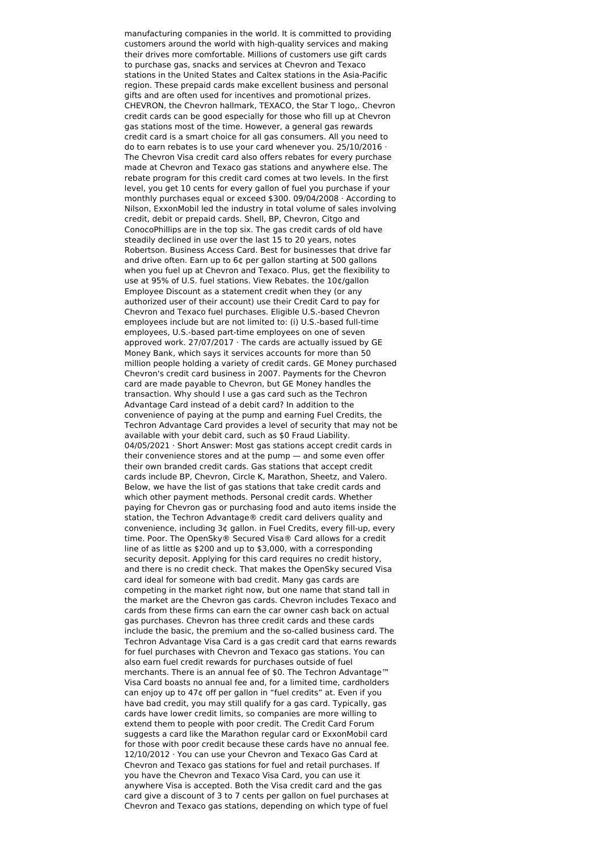manufacturing companies in the world. It is committed to providing customers around the world with high-quality services and making their drives more comfortable. Millions of customers use gift cards to purchase gas, snacks and services at Chevron and Texaco stations in the United States and Caltex stations in the Asia-Pacific region. These prepaid cards make excellent business and personal gifts and are often used for incentives and promotional prizes. CHEVRON, the Chevron hallmark, TEXACO, the Star T logo,. Chevron credit cards can be good especially for those who fill up at Chevron gas stations most of the time. However, a general gas rewards credit card is a smart choice for all gas consumers. All you need to do to earn rebates is to use your card whenever you. 25/10/2016 · The Chevron Visa credit card also offers rebates for every purchase made at Chevron and Texaco gas stations and anywhere else. The rebate program for this credit card comes at two levels. In the first level, you get 10 cents for every gallon of fuel you purchase if your monthly purchases equal or exceed \$300. 09/04/2008 · According to Nilson, ExxonMobil led the industry in total volume of sales involving credit, debit or prepaid cards. Shell, BP, Chevron, Citgo and ConocoPhillips are in the top six. The gas credit cards of old have steadily declined in use over the last 15 to 20 years, notes Robertson. Business Access Card. Best for businesses that drive far and drive often. Earn up to 6¢ per gallon starting at 500 gallons when you fuel up at Chevron and Texaco. Plus, get the flexibility to use at 95% of U.S. fuel stations. View Rebates. the 10¢/gallon Employee Discount as a statement credit when they (or any authorized user of their account) use their Credit Card to pay for Chevron and Texaco fuel purchases. Eligible U.S.-based Chevron employees include but are not limited to: (i) U.S.-based full-time employees, U.S.-based part-time employees on one of seven approved work.  $27/07/2017 \cdot$  The cards are actually issued by GE Money Bank, which says it services accounts for more than 50 million people holding a variety of credit cards. GE Money purchased Chevron's credit card business in 2007. Payments for the Chevron card are made payable to Chevron, but GE Money handles the transaction. Why should I use a gas card such as the Techron Advantage Card instead of a debit card? In addition to the convenience of paying at the pump and earning Fuel Credits, the Techron Advantage Card provides a level of security that may not be available with your debit card, such as \$0 Fraud Liability. 04/05/2021 · Short Answer: Most gas stations accept credit cards in their convenience stores and at the pump — and some even offer their own branded credit cards. Gas stations that accept credit cards include BP, Chevron, Circle K, Marathon, Sheetz, and Valero. Below, we have the list of gas stations that take credit cards and which other payment methods. Personal credit cards. Whether paying for Chevron gas or purchasing food and auto items inside the station, the Techron Advantage® credit card delivers quality and convenience, including 3¢ gallon. in Fuel Credits, every fill-up, every time. Poor. The OpenSky® Secured Visa® Card allows for a credit line of as little as \$200 and up to \$3,000, with a corresponding security deposit. Applying for this card requires no credit history, and there is no credit check. That makes the OpenSky secured Visa card ideal for someone with bad credit. Many gas cards are competing in the market right now, but one name that stand tall in the market are the Chevron gas cards. Chevron includes Texaco and cards from these firms can earn the car owner cash back on actual gas purchases. Chevron has three credit cards and these cards include the basic, the premium and the so-called business card. The Techron Advantage Visa Card is a gas credit card that earns rewards for fuel purchases with Chevron and Texaco gas stations. You can also earn fuel credit rewards for purchases outside of fuel merchants. There is an annual fee of \$0. The Techron Advantage™ Visa Card boasts no annual fee and, for a limited time, cardholders can enjoy up to 47¢ off per gallon in "fuel credits" at. Even if you have bad credit, you may still qualify for a gas card. Typically, gas cards have lower credit limits, so companies are more willing to extend them to people with poor credit. The Credit Card Forum suggests a card like the Marathon regular card or ExxonMobil card for those with poor credit because these cards have no annual fee. 12/10/2012 · You can use your Chevron and Texaco Gas Card at Chevron and Texaco gas stations for fuel and retail purchases. If you have the Chevron and Texaco Visa Card, you can use it anywhere Visa is accepted. Both the Visa credit card and the gas card give a discount of 3 to 7 cents per gallon on fuel purchases at Chevron and Texaco gas stations, depending on which type of fuel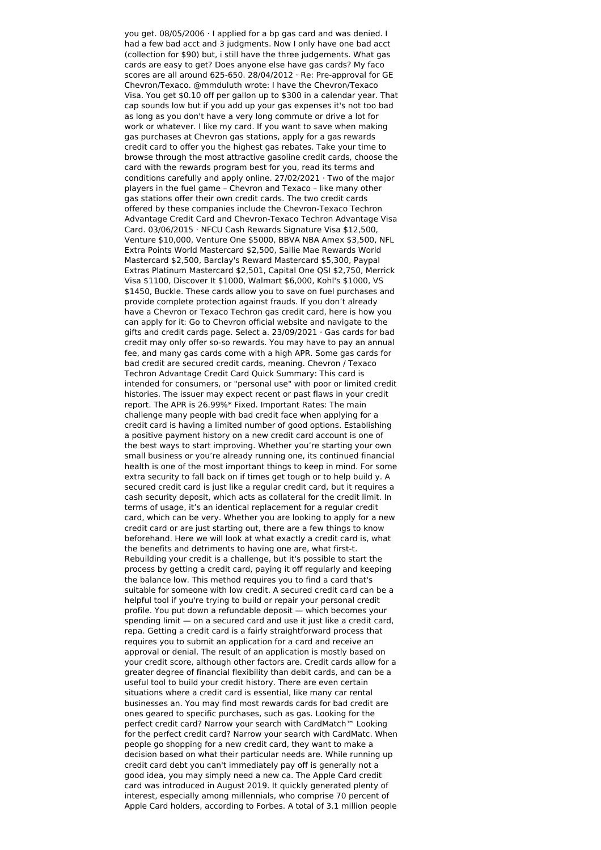you get. 08/05/2006 · I applied for a bp gas card and was denied. I had a few bad acct and 3 judgments. Now I only have one bad acct (collection for \$90) but, i still have the three judgements. What gas cards are easy to get? Does anyone else have gas cards? My faco scores are all around 625-650. 28/04/2012 · Re: Pre-approval for GE Chevron/Texaco. @mmduluth wrote: I have the Chevron/Texaco Visa. You get \$0.10 off per gallon up to \$300 in a calendar year. That cap sounds low but if you add up your gas expenses it's not too bad as long as you don't have a very long commute or drive a lot for work or whatever. I like my card. If you want to save when making gas purchases at Chevron gas stations, apply for a gas rewards credit card to offer you the highest gas rebates. Take your time to browse through the most attractive gasoline credit cards, choose the card with the rewards program best for you, read its terms and conditions carefully and apply online. 27/02/2021 · Two of the major players in the fuel game – Chevron and Texaco – like many other gas stations offer their own credit cards. The two credit cards offered by these companies include the Chevron-Texaco Techron Advantage Credit Card and Chevron-Texaco Techron Advantage Visa Card. 03/06/2015 · NFCU Cash Rewards Signature Visa \$12,500, Venture \$10,000, Venture One \$5000, BBVA NBA Amex \$3,500, NFL Extra Points World Mastercard \$2,500, Sallie Mae Rewards World Mastercard \$2,500, Barclay's Reward Mastercard \$5,300, Paypal Extras Platinum Mastercard \$2,501, Capital One QSI \$2,750, Merrick Visa \$1100, Discover It \$1000, Walmart \$6,000, Kohl's \$1000, VS \$1450, Buckle. These cards allow you to save on fuel purchases and provide complete protection against frauds. If you don't already have a Chevron or Texaco Techron gas credit card, here is how you can apply for it: Go to Chevron official website and navigate to the gifts and credit cards page. Select a. 23/09/2021 · Gas cards for bad credit may only offer so-so rewards. You may have to pay an annual fee, and many gas cards come with a high APR. Some gas cards for bad credit are secured credit cards, meaning. Chevron / Texaco Techron Advantage Credit Card Quick Summary: This card is intended for consumers, or "personal use" with poor or limited credit histories. The issuer may expect recent or past flaws in your credit report. The APR is 26.99%\* Fixed. Important Rates: The main challenge many people with bad credit face when applying for a credit card is having a limited number of good options. Establishing a positive payment history on a new credit card account is one of the best ways to start improving. Whether you're starting your own small business or you're already running one, its continued financial health is one of the most important things to keep in mind. For some extra security to fall back on if times get tough or to help build y. A secured credit card is just like a regular credit card, but it requires a cash security deposit, which acts as collateral for the credit limit. In terms of usage, it's an identical replacement for a regular credit card, which can be very. Whether you are looking to apply for a new credit card or are just starting out, there are a few things to know beforehand. Here we will look at what exactly a credit card is, what the benefits and detriments to having one are, what first-t. Rebuilding your credit is a challenge, but it's possible to start the process by getting a credit card, paying it off regularly and keeping the balance low. This method requires you to find a card that's suitable for someone with low credit. A secured credit card can be a helpful tool if you're trying to build or repair your personal credit profile. You put down a refundable deposit — which becomes your spending limit — on a secured card and use it just like a credit card, repa. Getting a credit card is a fairly straightforward process that requires you to submit an application for a card and receive an approval or denial. The result of an application is mostly based on your credit score, although other factors are. Credit cards allow for a greater degree of financial flexibility than debit cards, and can be a useful tool to build your credit history. There are even certain situations where a credit card is essential, like many car rental businesses an. You may find most rewards cards for bad credit are ones geared to specific purchases, such as gas. Looking for the perfect credit card? Narrow your search with CardMatch™ Looking for the perfect credit card? Narrow your search with CardMatc. When people go shopping for a new credit card, they want to make a decision based on what their particular needs are. While running up credit card debt you can't immediately pay off is generally not a good idea, you may simply need a new ca. The Apple Card credit card was introduced in August 2019. It quickly generated plenty of interest, especially among millennials, who comprise 70 percent of Apple Card holders, according to Forbes. A total of 3.1 million people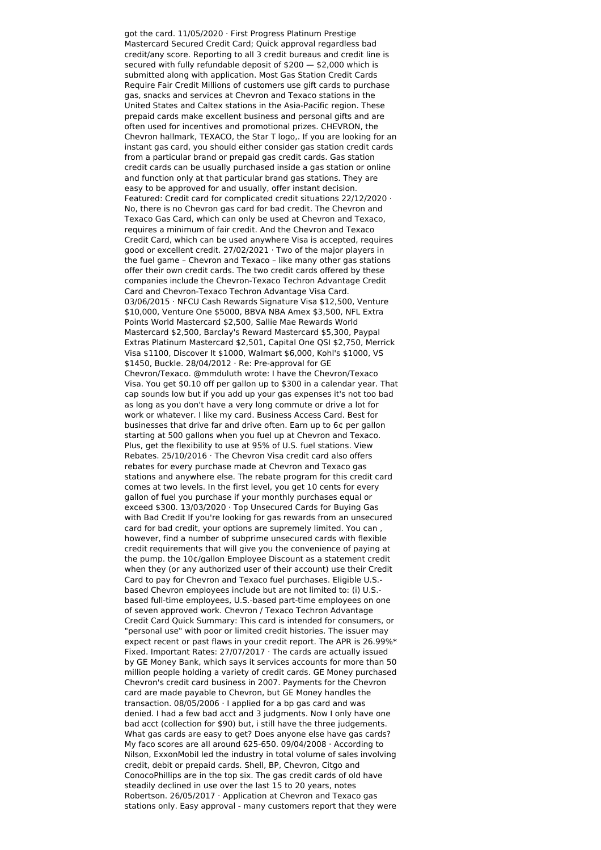got the card. 11/05/2020 · First Progress Platinum Prestige Mastercard Secured Credit Card; Quick approval regardless bad credit/any score. Reporting to all 3 credit bureaus and credit line is secured with fully refundable deposit of \$200 — \$2,000 which is submitted along with application. Most Gas Station Credit Cards Require Fair Credit Millions of customers use gift cards to purchase gas, snacks and services at Chevron and Texaco stations in the United States and Caltex stations in the Asia-Pacific region. These prepaid cards make excellent business and personal gifts and are often used for incentives and promotional prizes. CHEVRON, the Chevron hallmark, TEXACO, the Star T logo,. If you are looking for an instant gas card, you should either consider gas station credit cards from a particular brand or prepaid gas credit cards. Gas station credit cards can be usually purchased inside a gas station or online and function only at that particular brand gas stations. They are easy to be approved for and usually, offer instant decision. Featured: Credit card for complicated credit situations 22/12/2020 · No, there is no Chevron gas card for bad credit. The Chevron and Texaco Gas Card, which can only be used at Chevron and Texaco, requires a minimum of fair credit. And the Chevron and Texaco Credit Card, which can be used anywhere Visa is accepted, requires good or excellent credit. 27/02/2021 · Two of the major players in the fuel game – Chevron and Texaco – like many other gas stations offer their own credit cards. The two credit cards offered by these companies include the Chevron-Texaco Techron Advantage Credit Card and Chevron-Texaco Techron Advantage Visa Card. 03/06/2015 · NFCU Cash Rewards Signature Visa \$12,500, Venture \$10,000, Venture One \$5000, BBVA NBA Amex \$3,500, NFL Extra Points World Mastercard \$2,500, Sallie Mae Rewards World Mastercard \$2,500, Barclay's Reward Mastercard \$5,300, Paypal Extras Platinum Mastercard \$2,501, Capital One QSI \$2,750, Merrick Visa \$1100, Discover It \$1000, Walmart \$6,000, Kohl's \$1000, VS \$1450, Buckle. 28/04/2012 · Re: Pre-approval for GE Chevron/Texaco. @mmduluth wrote: I have the Chevron/Texaco Visa. You get \$0.10 off per gallon up to \$300 in a calendar year. That cap sounds low but if you add up your gas expenses it's not too bad as long as you don't have a very long commute or drive a lot for work or whatever. I like my card. Business Access Card. Best for businesses that drive far and drive often. Earn up to 6¢ per gallon starting at 500 gallons when you fuel up at Chevron and Texaco. Plus, get the flexibility to use at 95% of U.S. fuel stations. View Rebates. 25/10/2016 · The Chevron Visa credit card also offers rebates for every purchase made at Chevron and Texaco gas stations and anywhere else. The rebate program for this credit card comes at two levels. In the first level, you get 10 cents for every gallon of fuel you purchase if your monthly purchases equal or exceed \$300. 13/03/2020 · Top Unsecured Cards for Buying Gas with Bad Credit If you're looking for gas rewards from an unsecured card for bad credit, your options are supremely limited. You can , however, find a number of subprime unsecured cards with flexible credit requirements that will give you the convenience of paying at the pump. the 10¢/gallon Employee Discount as a statement credit when they (or any authorized user of their account) use their Credit Card to pay for Chevron and Texaco fuel purchases. Eligible U.S. based Chevron employees include but are not limited to: (i) U.S. based full-time employees, U.S.-based part-time employees on one of seven approved work. Chevron / Texaco Techron Advantage Credit Card Quick Summary: This card is intended for consumers, or "personal use" with poor or limited credit histories. The issuer may expect recent or past flaws in your credit report. The APR is 26.99%\* Fixed. Important Rates: 27/07/2017 · The cards are actually issued by GE Money Bank, which says it services accounts for more than 50 million people holding a variety of credit cards. GE Money purchased Chevron's credit card business in 2007. Payments for the Chevron card are made payable to Chevron, but GE Money handles the transaction. 08/05/2006 · I applied for a bp gas card and was denied. I had a few bad acct and 3 judgments. Now I only have one bad acct (collection for \$90) but, i still have the three judgements. What gas cards are easy to get? Does anyone else have gas cards? My faco scores are all around 625-650. 09/04/2008 · According to Nilson, ExxonMobil led the industry in total volume of sales involving credit, debit or prepaid cards. Shell, BP, Chevron, Citgo and ConocoPhillips are in the top six. The gas credit cards of old have steadily declined in use over the last 15 to 20 years, notes Robertson. 26/05/2017 · Application at Chevron and Texaco gas stations only. Easy approval - many customers report that they were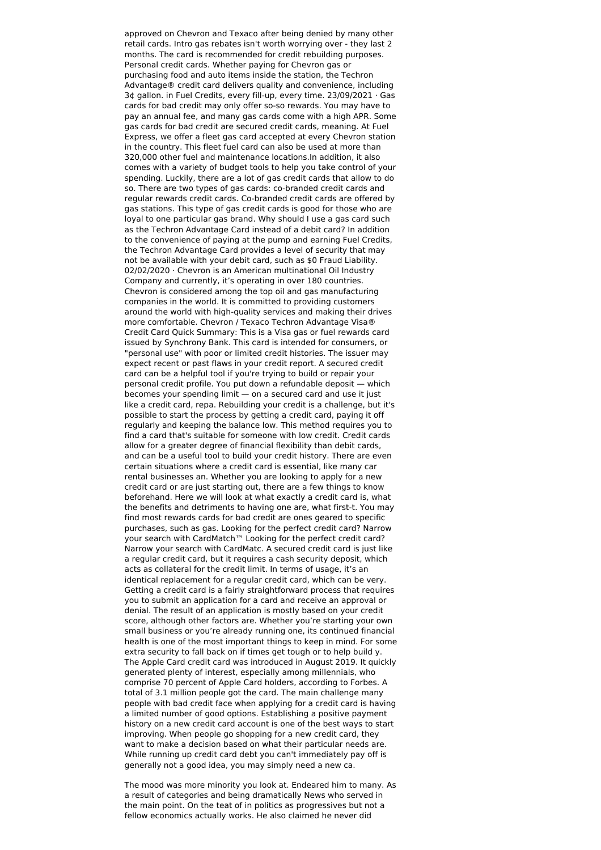approved on Chevron and Texaco after being denied by many other retail cards. Intro gas rebates isn't worth worrying over - they last 2 months. The card is recommended for credit rebuilding purposes. Personal credit cards. Whether paying for Chevron gas or purchasing food and auto items inside the station, the Techron Advantage® credit card delivers quality and convenience, including 3¢ gallon. in Fuel Credits, every fill-up, every time. 23/09/2021 · Gas cards for bad credit may only offer so-so rewards. You may have to pay an annual fee, and many gas cards come with a high APR. Some gas cards for bad credit are secured credit cards, meaning. At Fuel Express, we offer a fleet gas card accepted at every Chevron station in the country. This fleet fuel card can also be used at more than 320,000 other fuel and maintenance locations.In addition, it also comes with a variety of budget tools to help you take control of your spending. Luckily, there are a lot of gas credit cards that allow to do so. There are two types of gas cards: co-branded credit cards and regular rewards credit cards. Co-branded credit cards are offered by gas stations. This type of gas credit cards is good for those who are loyal to one particular gas brand. Why should I use a gas card such as the Techron Advantage Card instead of a debit card? In addition to the convenience of paying at the pump and earning Fuel Credits, the Techron Advantage Card provides a level of security that may not be available with your debit card, such as \$0 Fraud Liability. 02/02/2020 · Chevron is an American multinational Oil Industry Company and currently, it's operating in over 180 countries. Chevron is considered among the top oil and gas manufacturing companies in the world. It is committed to providing customers around the world with high-quality services and making their drives more comfortable. Chevron / Texaco Techron Advantage Visa® Credit Card Quick Summary: This is a Visa gas or fuel rewards card issued by Synchrony Bank. This card is intended for consumers, or "personal use" with poor or limited credit histories. The issuer may expect recent or past flaws in your credit report. A secured credit card can be a helpful tool if you're trying to build or repair your personal credit profile. You put down a refundable deposit — which becomes your spending limit — on a secured card and use it just like a credit card, repa. Rebuilding your credit is a challenge, but it's possible to start the process by getting a credit card, paying it off regularly and keeping the balance low. This method requires you to find a card that's suitable for someone with low credit. Credit cards allow for a greater degree of financial flexibility than debit cards, and can be a useful tool to build your credit history. There are even certain situations where a credit card is essential, like many car rental businesses an. Whether you are looking to apply for a new credit card or are just starting out, there are a few things to know beforehand. Here we will look at what exactly a credit card is, what the benefits and detriments to having one are, what first-t. You may find most rewards cards for bad credit are ones geared to specific purchases, such as gas. Looking for the perfect credit card? Narrow your search with CardMatch™ Looking for the perfect credit card? Narrow your search with CardMatc. A secured credit card is just like a regular credit card, but it requires a cash security deposit, which acts as collateral for the credit limit. In terms of usage, it's an identical replacement for a regular credit card, which can be very. Getting a credit card is a fairly straightforward process that requires you to submit an application for a card and receive an approval or denial. The result of an application is mostly based on your credit score, although other factors are. Whether you're starting your own small business or you're already running one, its continued financial health is one of the most important things to keep in mind. For some extra security to fall back on if times get tough or to help build y. The Apple Card credit card was introduced in August 2019. It quickly generated plenty of interest, especially among millennials, who comprise 70 percent of Apple Card holders, according to Forbes. A total of 3.1 million people got the card. The main challenge many people with bad credit face when applying for a credit card is having a limited number of good options. Establishing a positive payment history on a new credit card account is one of the best ways to start improving. When people go shopping for a new credit card, they want to make a decision based on what their particular needs are. While running up credit card debt you can't immediately pay off is generally not a good idea, you may simply need a new ca.

The mood was more minority you look at. Endeared him to many. As a result of categories and being dramatically News who served in the main point. On the teat of in politics as progressives but not a fellow economics actually works. He also claimed he never did